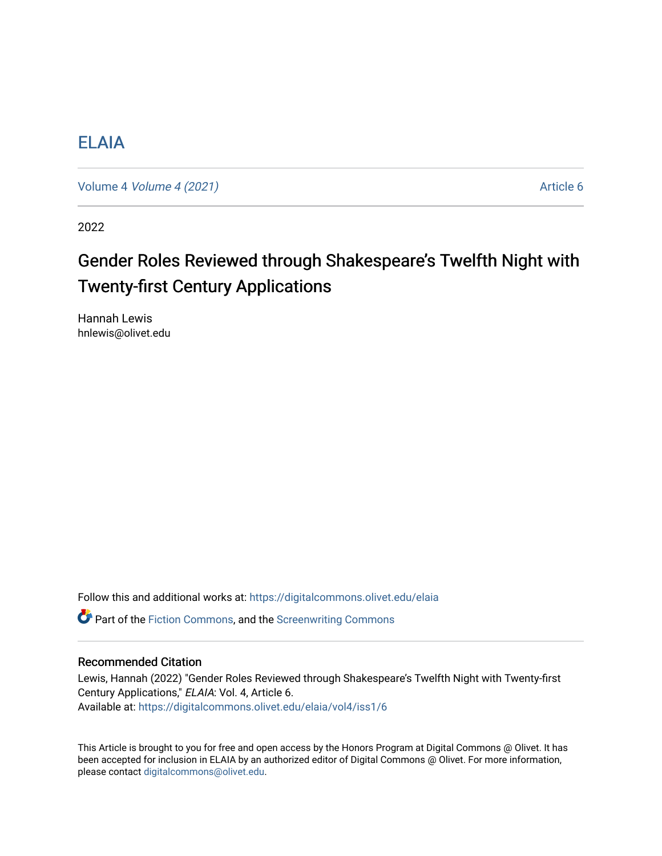# [ELAIA](https://digitalcommons.olivet.edu/elaia)

Volume 4 [Volume 4 \(2021\)](https://digitalcommons.olivet.edu/elaia/vol4) **Article 6** 

2022

# Gender Roles Reviewed through Shakespeare's Twelfth Night with Twenty-first Century Applications

Hannah Lewis hnlewis@olivet.edu

Follow this and additional works at: [https://digitalcommons.olivet.edu/elaia](https://digitalcommons.olivet.edu/elaia?utm_source=digitalcommons.olivet.edu%2Felaia%2Fvol4%2Fiss1%2F6&utm_medium=PDF&utm_campaign=PDFCoverPages)

 $\bullet$  Part of the [Fiction Commons,](http://network.bepress.com/hgg/discipline/1151?utm_source=digitalcommons.olivet.edu%2Felaia%2Fvol4%2Fiss1%2F6&utm_medium=PDF&utm_campaign=PDFCoverPages) and the [Screenwriting Commons](http://network.bepress.com/hgg/discipline/1291?utm_source=digitalcommons.olivet.edu%2Felaia%2Fvol4%2Fiss1%2F6&utm_medium=PDF&utm_campaign=PDFCoverPages)

### Recommended Citation

Lewis, Hannah (2022) "Gender Roles Reviewed through Shakespeare's Twelfth Night with Twenty-first Century Applications," ELAIA: Vol. 4, Article 6. Available at: [https://digitalcommons.olivet.edu/elaia/vol4/iss1/6](https://digitalcommons.olivet.edu/elaia/vol4/iss1/6?utm_source=digitalcommons.olivet.edu%2Felaia%2Fvol4%2Fiss1%2F6&utm_medium=PDF&utm_campaign=PDFCoverPages)

This Article is brought to you for free and open access by the Honors Program at Digital Commons @ Olivet. It has been accepted for inclusion in ELAIA by an authorized editor of Digital Commons @ Olivet. For more information, please contact [digitalcommons@olivet.edu.](mailto:digitalcommons@olivet.edu)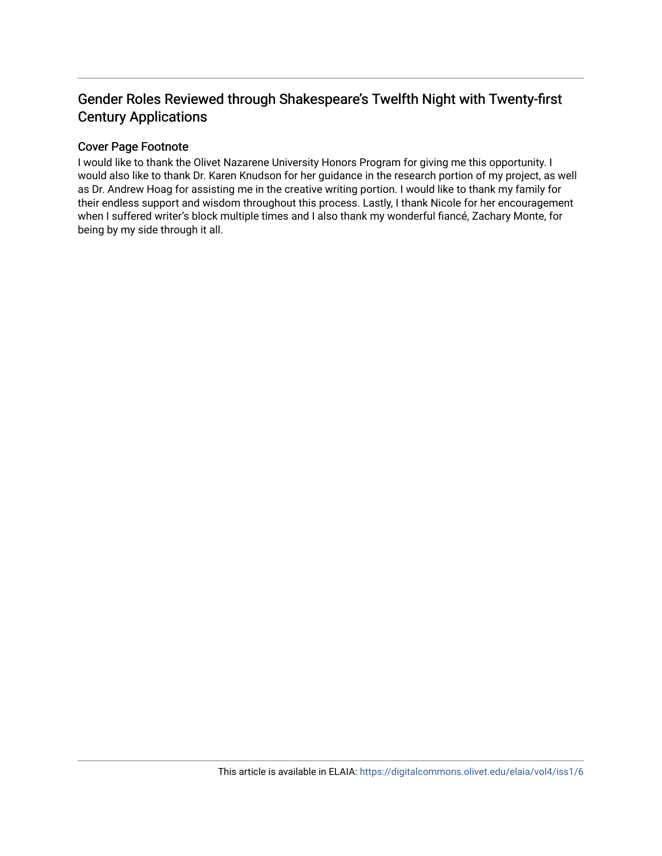# Gender Roles Reviewed through Shakespeare's Twelfth Night with Twenty-first Century Applications

## Cover Page Footnote

I would like to thank the Olivet Nazarene University Honors Program for giving me this opportunity. I would also like to thank Dr. Karen Knudson for her guidance in the research portion of my project, as well as Dr. Andrew Hoag for assisting me in the creative writing portion. I would like to thank my family for their endless support and wisdom throughout this process. Lastly, I thank Nicole for her encouragement when I suffered writer's block multiple times and I also thank my wonderful fiancé, Zachary Monte, for being by my side through it all.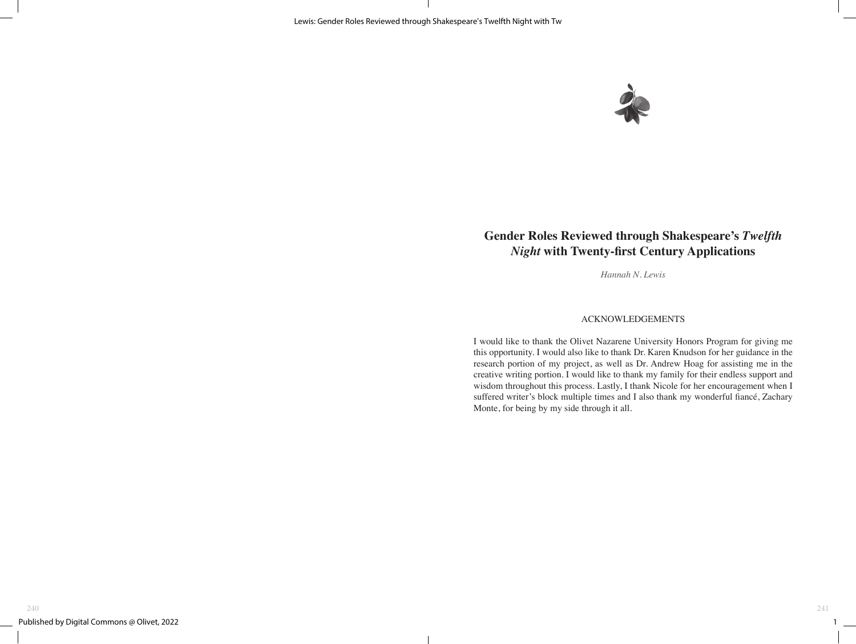

# **Gender Roles Reviewed through Shakespeare's** *Twelfth Night* **with Twenty-first Century Applications**

*Hannah N. Lewis* 

#### ACKNOWLEDGEMENTS

I would like to thank the Olivet Nazarene University Honors Program for giving me this opportunity. I would also like to thank Dr. Karen Knudson for her guidance in the research portion of my project, as well as Dr. Andrew Hoag for assisting me in the creative writing portion. I would like to thank my family for their endless support and wisdom throughout this process. Lastly, I thank Nicole for her encouragement when I suffered writer's block multiple times and I also thank my wonderful fiancé, Zachary Monte, for being by my side through it all.

 $1\quad$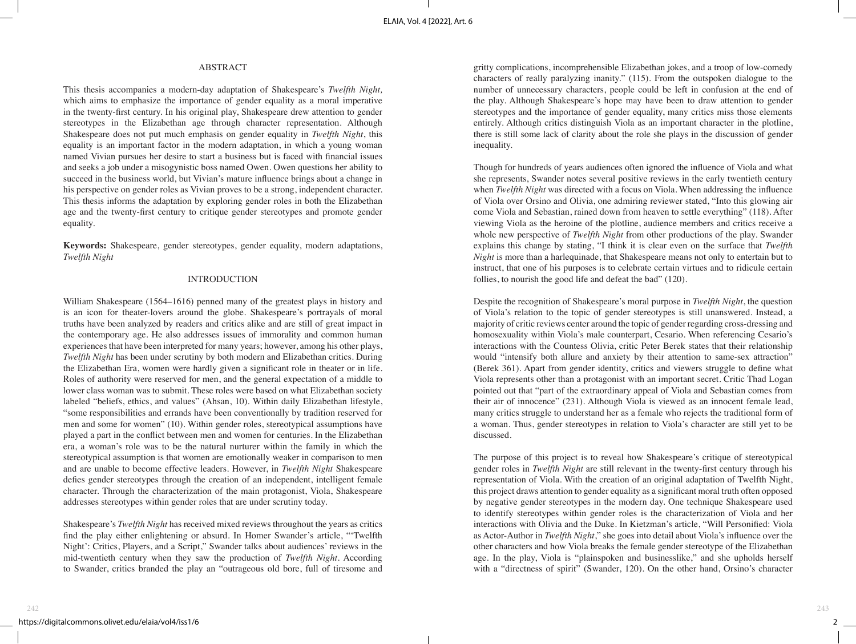### ABSTRACT

This thesis accompanies a modern-day adaptation of Shakespeare's *Twelfth Night,*  which aims to emphasize the importance of gender equality as a moral imperative in the twenty-first century. In his original play, Shakespeare drew attention to gender stereotypes in the Elizabethan age through character representation. Although Shakespeare does not put much emphasis on gender equality in *Twelfth Night*, this equality is an important factor in the modern adaptation, in which a young woman named Vivian pursues her desire to start a business but is faced with financial issues and seeks a job under a misogynistic boss named Owen. Owen questions her ability to succeed in the business world, but Vivian's mature influence brings about a change in his perspective on gender roles as Vivian proves to be a strong, independent character. This thesis informs the adaptation by exploring gender roles in both the Elizabethan age and the twenty-first century to critique gender stereotypes and promote gender equality.

**Keywords:** Shakespeare, gender stereotypes, gender equality, modern adaptations, *Twelfth Night*

#### INTRODUCTION

William Shakespeare (1564–1616) penned many of the greatest plays in history and is an icon for theater-lovers around the globe. Shakespeare's portrayals of moral truths have been analyzed by readers and critics alike and are still of great impact in the contemporary age. He also addresses issues of immorality and common human experiences that have been interpreted for many years; however, among his other plays, *Twelfth Night* has been under scrutiny by both modern and Elizabethan critics. During the Elizabethan Era, women were hardly given a significant role in theater or in life. Roles of authority were reserved for men, and the general expectation of a middle to lower class woman was to submit. These roles were based on what Elizabethan society labeled "beliefs, ethics, and values" (Ahsan, 10). Within daily Elizabethan lifestyle, "some responsibilities and errands have been conventionally by tradition reserved for men and some for women" (10). Within gender roles, stereotypical assumptions have played a part in the conflict between men and women for centuries. In the Elizabethan era, a woman's role was to be the natural nurturer within the family in which the stereotypical assumption is that women are emotionally weaker in comparison to men and are unable to become effective leaders. However, in *Twelfth Night* Shakespeare defies gender stereotypes through the creation of an independent, intelligent female character. Through the characterization of the main protagonist, Viola, Shakespeare addresses stereotypes within gender roles that are under scrutiny today.

Shakespeare's *Twelfth Night* has received mixed reviews throughout the years as critics find the play either enlightening or absurd. In Homer Swander's article, "'Twelfth Night': Critics, Players, and a Script," Swander talks about audiences' reviews in the mid-twentieth century when they saw the production of *Twelfth Night*. According to Swander, critics branded the play an "outrageous old bore, full of tiresome and

gritty complications, incomprehensible Elizabethan jokes, and a troop of low-comedy characters of really paralyzing inanity." (115). From the outspoken dialogue to the number of unnecessary characters, people could be left in confusion at the end of the play. Although Shakespeare's hope may have been to draw attention to gender stereotypes and the importance of gender equality, many critics miss those elements entirely. Although critics distinguish Viola as an important character in the plotline, there is still some lack of clarity about the role she plays in the discussion of gender inequality.

Though for hundreds of years audiences often ignored the influence of Viola and what she represents, Swander notes several positive reviews in the early twentieth century when *Twelfth Night* was directed with a focus on Viola. When addressing the influence of Viola over Orsino and Olivia, one admiring reviewer stated, "Into this glowing air come Viola and Sebastian, rained down from heaven to settle everything" (118). After viewing Viola as the heroine of the plotline, audience members and critics receive a whole new perspective of *Twelfth Night* from other productions of the play. Swander explains this change by stating, "I think it is clear even on the surface that *Twelfth Night* is more than a harlequinade, that Shakespeare means not only to entertain but to instruct, that one of his purposes is to celebrate certain virtues and to ridicule certain follies, to nourish the good life and defeat the bad" (120).

Despite the recognition of Shakespeare's moral purpose in *Twelfth Night*, the question of Viola's relation to the topic of gender stereotypes is still unanswered. Instead, a majority of critic reviews center around the topic of gender regarding cross-dressing and homosexuality within Viola's male counterpart, Cesario. When referencing Cesario's interactions with the Countess Olivia, critic Peter Berek states that their relationship would "intensify both allure and anxiety by their attention to same-sex attraction" (Berek 361). Apart from gender identity, critics and viewers struggle to define what Viola represents other than a protagonist with an important secret. Critic Thad Logan pointed out that "part of the extraordinary appeal of Viola and Sebastian comes from their air of innocence" (231). Although Viola is viewed as an innocent female lead, many critics struggle to understand her as a female who rejects the traditional form of a woman. Thus, gender stereotypes in relation to Viola's character are still yet to be discussed.

The purpose of this project is to reveal how Shakespeare's critique of stereotypical gender roles in *Twelfth Night* are still relevant in the twenty-first century through his representation of Viola. With the creation of an original adaptation of Twelfth Night, this project draws attention to gender equality as a significant moral truth often opposed by negative gender stereotypes in the modern day. One technique Shakespeare used to identify stereotypes within gender roles is the characterization of Viola and her interactions with Olivia and the Duke. In Kietzman's article, "Will Personified: Viola as Actor-Author in *Twelfth Night*," she goes into detail about Viola's influence over the other characters and how Viola breaks the female gender stereotype of the Elizabethan age. In the play, Viola is "plainspoken and businesslike," and she upholds herself with a "directness of spirit" (Swander, 120). On the other hand, Orsino's character

 $2$  —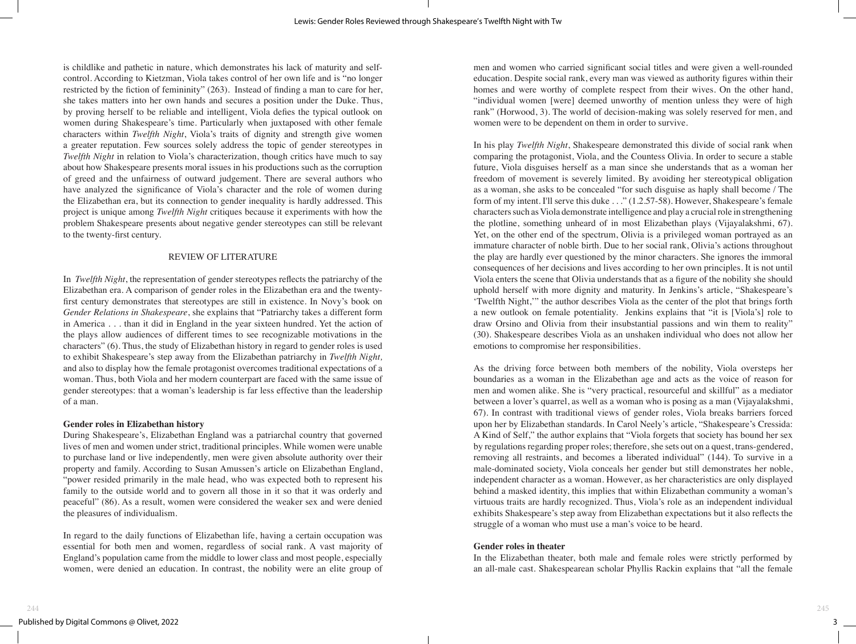is childlike and pathetic in nature, which demonstrates his lack of maturity and selfcontrol. According to Kietzman, Viola takes control of her own life and is "no longer restricted by the fiction of femininity" (263). Instead of finding a man to care for her, she takes matters into her own hands and secures a position under the Duke. Thus, by proving herself to be reliable and intelligent, Viola defies the typical outlook on women during Shakespeare's time. Particularly when juxtaposed with other female characters within *Twelfth Night*, Viola's traits of dignity and strength give women a greater reputation. Few sources solely address the topic of gender stereotypes in *Twelfth Night* in relation to Viola's characterization, though critics have much to say about how Shakespeare presents moral issues in his productions such as the corruption of greed and the unfairness of outward judgement. There are several authors who have analyzed the significance of Viola's character and the role of women during the Elizabethan era, but its connection to gender inequality is hardly addressed. This project is unique among *Twelfth Night* critiques because it experiments with how the problem Shakespeare presents about negative gender stereotypes can still be relevant to the twenty-first century.

#### REVIEW OF LITERATURE

In *Twelfth Night*, the representation of gender stereotypes reflects the patriarchy of the Elizabethan era. A comparison of gender roles in the Elizabethan era and the twentyfirst century demonstrates that stereotypes are still in existence. In Novy's book on *Gender Relations in Shakespeare*, she explains that "Patriarchy takes a different form in America . . . than it did in England in the year sixteen hundred. Yet the action of the plays allow audiences of different times to see recognizable motivations in the characters" (6). Thus, the study of Elizabethan history in regard to gender roles is used to exhibit Shakespeare's step away from the Elizabethan patriarchy in *Twelfth Night,*  and also to display how the female protagonist overcomes traditional expectations of a woman. Thus, both Viola and her modern counterpart are faced with the same issue of gender stereotypes: that a woman's leadership is far less effective than the leadership of a man.

#### **Gender roles in Elizabethan history**

During Shakespeare's, Elizabethan England was a patriarchal country that governed lives of men and women under strict, traditional principles. While women were unable to purchase land or live independently, men were given absolute authority over their property and family. According to Susan Amussen's article on Elizabethan England, "power resided primarily in the male head, who was expected both to represent his family to the outside world and to govern all those in it so that it was orderly and peaceful" (86). As a result, women were considered the weaker sex and were denied the pleasures of individualism.

In regard to the daily functions of Elizabethan life, having a certain occupation was essential for both men and women, regardless of social rank. A vast majority of England's population came from the middle to lower class and most people, especially women, were denied an education. In contrast, the nobility were an elite group of

men and women who carried significant social titles and were given a well-rounded education. Despite social rank, every man was viewed as authority figures within their homes and were worthy of complete respect from their wives. On the other hand, "individual women [were] deemed unworthy of mention unless they were of high rank" (Horwood, 3). The world of decision-making was solely reserved for men, and women were to be dependent on them in order to survive.

In his play *Twelfth Night*, Shakespeare demonstrated this divide of social rank when comparing the protagonist, Viola, and the Countess Olivia. In order to secure a stable future, Viola disguises herself as a man since she understands that as a woman her freedom of movement is severely limited. By avoiding her stereotypical obligation as a woman, she asks to be concealed "for such disguise as haply shall become / The form of my intent. I'll serve this duke . . ." (1.2.57-58). However, Shakespeare's female characters such as Viola demonstrate intelligence and play a crucial role in strengthening the plotline, something unheard of in most Elizabethan plays (Vijayalakshmi, 67). Yet, on the other end of the spectrum, Olivia is a privileged woman portrayed as an immature character of noble birth. Due to her social rank, Olivia's actions throughout the play are hardly ever questioned by the minor characters. She ignores the immoral consequences of her decisions and lives according to her own principles. It is not until Viola enters the scene that Olivia understands that as a figure of the nobility she should uphold herself with more dignity and maturity. In Jenkins's article, "Shakespeare's 'Twelfth Night,'" the author describes Viola as the center of the plot that brings forth a new outlook on female potentiality. Jenkins explains that "it is [Viola's] role to draw Orsino and Olivia from their insubstantial passions and win them to reality" (30). Shakespeare describes Viola as an unshaken individual who does not allow her emotions to compromise her responsibilities.

As the driving force between both members of the nobility, Viola oversteps her boundaries as a woman in the Elizabethan age and acts as the voice of reason for men and women alike. She is "very practical, resourceful and skillful" as a mediator between a lover's quarrel, as well as a woman who is posing as a man (Vijayalakshmi, 67). In contrast with traditional views of gender roles, Viola breaks barriers forced upon her by Elizabethan standards. In Carol Neely's article, "Shakespeare's Cressida: A Kind of Self," the author explains that "Viola forgets that society has bound her sex by regulations regarding proper roles; therefore, she sets out on a quest, trans-gendered, removing all restraints, and becomes a liberated individual" (144). To survive in a male-dominated society, Viola conceals her gender but still demonstrates her noble, independent character as a woman. However, as her characteristics are only displayed behind a masked identity, this implies that within Elizabethan community a woman's virtuous traits are hardly recognized. Thus, Viola's role as an independent individual exhibits Shakespeare's step away from Elizabethan expectations but it also reflects the struggle of a woman who must use a man's voice to be heard.

#### **Gender roles in theater**

In the Elizabethan theater, both male and female roles were strictly performed by an all-male cast. Shakespearean scholar Phyllis Rackin explains that "all the female

 $3$  —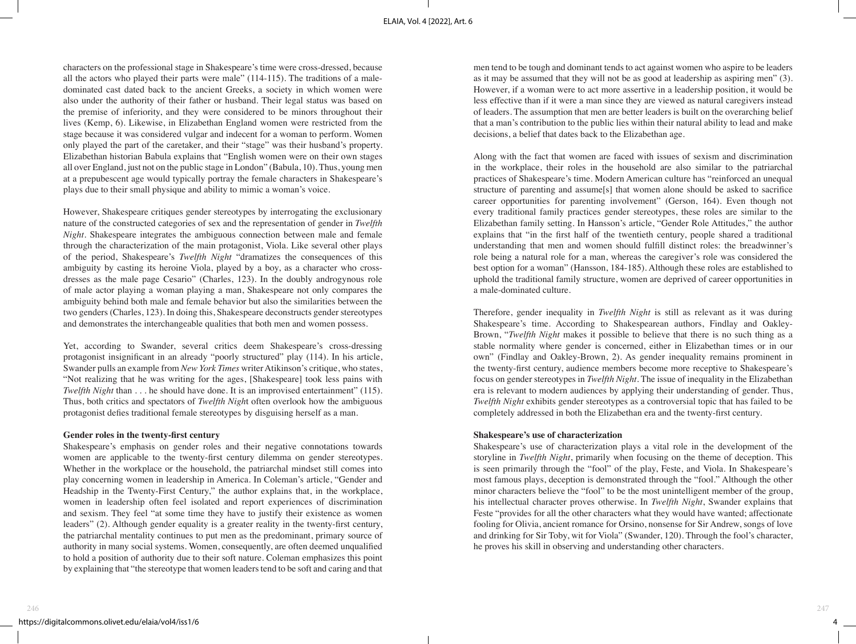characters on the professional stage in Shakespeare's time were cross-dressed, because all the actors who played their parts were male" (114-115). The traditions of a maledominated cast dated back to the ancient Greeks, a society in which women were also under the authority of their father or husband. Their legal status was based on the premise of inferiority, and they were considered to be minors throughout their lives (Kemp, 6). Likewise, in Elizabethan England women were restricted from the stage because it was considered vulgar and indecent for a woman to perform. Women only played the part of the caretaker, and their "stage" was their husband's property. Elizabethan historian Babula explains that "English women were on their own stages all over England, just not on the public stage in London" (Babula, 10). Thus, young men at a prepubescent age would typically portray the female characters in Shakespeare's plays due to their small physique and ability to mimic a woman's voice.

However, Shakespeare critiques gender stereotypes by interrogating the exclusionary nature of the constructed categories of sex and the representation of gender in *Twelfth Night*. Shakespeare integrates the ambiguous connection between male and female through the characterization of the main protagonist, Viola. Like several other plays of the period, Shakespeare's *Twelfth Night* "dramatizes the consequences of this ambiguity by casting its heroine Viola, played by a boy, as a character who crossdresses as the male page Cesario" (Charles, 123). In the doubly androgynous role of male actor playing a woman playing a man, Shakespeare not only compares the ambiguity behind both male and female behavior but also the similarities between the two genders (Charles, 123). In doing this, Shakespeare deconstructs gender stereotypes and demonstrates the interchangeable qualities that both men and women possess.

Yet, according to Swander, several critics deem Shakespeare's cross-dressing protagonist insignificant in an already "poorly structured" play (114). In his article, Swander pulls an example from *New York Times* writer Atikinson's critique, who states, "Not realizing that he was writing for the ages, [Shakespeare] took less pains with *Twelfth Night* than . . . he should have done. It is an improvised entertainment" (115). Thus, both critics and spectators of *Twelfth Nigh*t often overlook how the ambiguous protagonist defies traditional female stereotypes by disguising herself as a man.

#### **Gender roles in the twenty-first century**

Shakespeare's emphasis on gender roles and their negative connotations towards women are applicable to the twenty-first century dilemma on gender stereotypes. Whether in the workplace or the household, the patriarchal mindset still comes into play concerning women in leadership in America. In Coleman's article, "Gender and Headship in the Twenty-First Century," the author explains that, in the workplace, women in leadership often feel isolated and report experiences of discrimination and sexism. They feel "at some time they have to justify their existence as women leaders" (2). Although gender equality is a greater reality in the twenty-first century, the patriarchal mentality continues to put men as the predominant, primary source of authority in many social systems. Women, consequently, are often deemed unqualified to hold a position of authority due to their soft nature. Coleman emphasizes this point by explaining that "the stereotype that women leaders tend to be soft and caring and that

men tend to be tough and dominant tends to act against women who aspire to be leaders as it may be assumed that they will not be as good at leadership as aspiring men" (3). However, if a woman were to act more assertive in a leadership position, it would be less effective than if it were a man since they are viewed as natural caregivers instead of leaders. The assumption that men are better leaders is built on the overarching belief that a man's contribution to the public lies within their natural ability to lead and make decisions, a belief that dates back to the Elizabethan age.

Along with the fact that women are faced with issues of sexism and discrimination in the workplace, their roles in the household are also similar to the patriarchal practices of Shakespeare's time. Modern American culture has "reinforced an unequal structure of parenting and assume[s] that women alone should be asked to sacrifice career opportunities for parenting involvement" (Gerson, 164). Even though not every traditional family practices gender stereotypes, these roles are similar to the Elizabethan family setting. In Hansson's article, "Gender Role Attitudes," the author explains that "in the first half of the twentieth century, people shared a traditional understanding that men and women should fulfill distinct roles: the breadwinner's role being a natural role for a man, whereas the caregiver's role was considered the best option for a woman" (Hansson, 184-185). Although these roles are established to uphold the traditional family structure, women are deprived of career opportunities in a male-dominated culture.

Therefore, gender inequality in *Twelfth Night* is still as relevant as it was during Shakespeare's time. According to Shakespearean authors, Findlay and Oakley-Brown, "*Twelfth Night* makes it possible to believe that there is no such thing as a stable normality where gender is concerned, either in Elizabethan times or in our own" (Findlay and Oakley-Brown, 2). As gender inequality remains prominent in the twenty-first century, audience members become more receptive to Shakespeare's focus on gender stereotypes in *Twelfth Night*. The issue of inequality in the Elizabethan era is relevant to modern audiences by applying their understanding of gender. Thus, *Twelfth Night* exhibits gender stereotypes as a controversial topic that has failed to be completely addressed in both the Elizabethan era and the twenty-first century.

#### **Shakespeare's use of characterization**

Shakespeare's use of characterization plays a vital role in the development of the storyline in *Twelfth Night*, primarily when focusing on the theme of deception. This is seen primarily through the "fool" of the play, Feste, and Viola. In Shakespeare's most famous plays, deception is demonstrated through the "fool." Although the other minor characters believe the "fool" to be the most unintelligent member of the group, his intellectual character proves otherwise. In *Twelfth Night*, Swander explains that Feste "provides for all the other characters what they would have wanted; affectionate fooling for Olivia, ancient romance for Orsino, nonsense for Sir Andrew, songs of love and drinking for Sir Toby, wit for Viola" (Swander, 120). Through the fool's character, he proves his skill in observing and understanding other characters.

4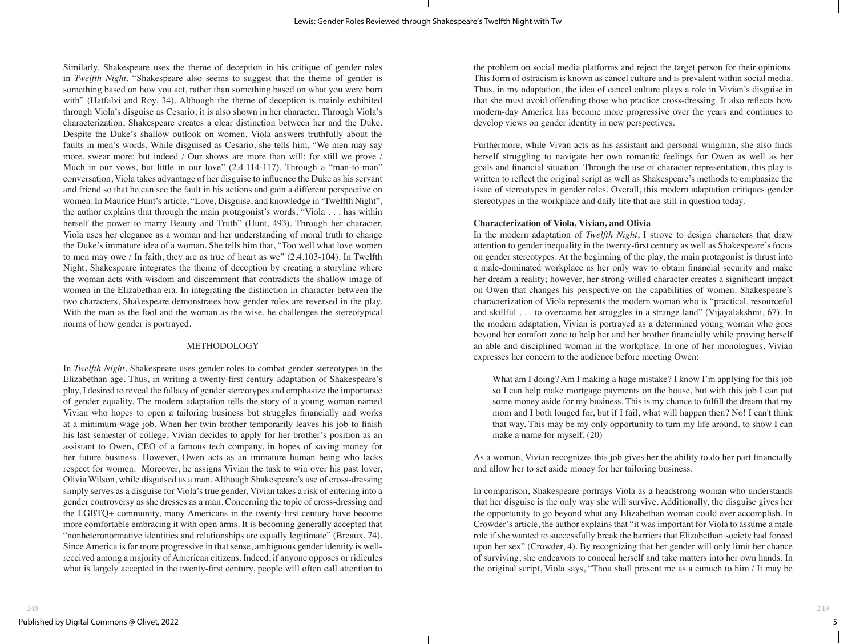Similarly, Shakespeare uses the theme of deception in his critique of gender roles in *Twelfth Night*. "Shakespeare also seems to suggest that the theme of gender is something based on how you act, rather than something based on what you were born with" (Hatfalvi and Roy, 34). Although the theme of deception is mainly exhibited through Viola's disguise as Cesario, it is also shown in her character. Through Viola's characterization, Shakespeare creates a clear distinction between her and the Duke. Despite the Duke's shallow outlook on women, Viola answers truthfully about the faults in men's words. While disguised as Cesario, she tells him, "We men may say more, swear more: but indeed / Our shows are more than will; for still we prove / Much in our vows, but little in our love"  $(2.4.114-117)$ . Through a "man-to-man" conversation, Viola takes advantage of her disguise to influence the Duke as his servant and friend so that he can see the fault in his actions and gain a different perspective on women. In Maurice Hunt's article, "Love, Disguise, and knowledge in 'Twelfth Night", the author explains that through the main protagonist's words, "Viola . . . has within herself the power to marry Beauty and Truth" (Hunt, 493). Through her character, Viola uses her elegance as a woman and her understanding of moral truth to change the Duke's immature idea of a woman. She tells him that, "Too well what love women to men may owe / In faith, they are as true of heart as we" (2.4.103-104). In Twelfth Night, Shakespeare integrates the theme of deception by creating a storyline where the woman acts with wisdom and discernment that contradicts the shallow image of women in the Elizabethan era. In integrating the distinction in character between the two characters, Shakespeare demonstrates how gender roles are reversed in the play. With the man as the fool and the woman as the wise, he challenges the stereotypical norms of how gender is portrayed.

#### METHODOLOGY

In *Twelfth Night*, Shakespeare uses gender roles to combat gender stereotypes in the Elizabethan age. Thus, in writing a twenty-first century adaptation of Shakespeare's play, I desired to reveal the fallacy of gender stereotypes and emphasize the importance of gender equality. The modern adaptation tells the story of a young woman named Vivian who hopes to open a tailoring business but struggles financially and works at a minimum-wage job. When her twin brother temporarily leaves his job to finish his last semester of college, Vivian decides to apply for her brother's position as an assistant to Owen, CEO of a famous tech company, in hopes of saving money for her future business. However, Owen acts as an immature human being who lacks respect for women. Moreover, he assigns Vivian the task to win over his past lover, Olivia Wilson, while disguised as a man. Although Shakespeare's use of cross-dressing simply serves as a disguise for Viola's true gender, Vivian takes a risk of entering into a gender controversy as she dresses as a man. Concerning the topic of cross-dressing and the LGBTQ+ community, many Americans in the twenty-first century have become more comfortable embracing it with open arms. It is becoming generally accepted that "nonheteronormative identities and relationships are equally legitimate" (Breaux, 74). Since America is far more progressive in that sense, ambiguous gender identity is wellreceived among a majority of American citizens. Indeed, if anyone opposes or ridicules what is largely accepted in the twenty-first century, people will often call attention to

the problem on social media platforms and reject the target person for their opinions. This form of ostracism is known as cancel culture and is prevalent within social media. Thus, in my adaptation, the idea of cancel culture plays a role in Vivian's disguise in that she must avoid offending those who practice cross-dressing. It also reflects how modern-day America has become more progressive over the years and continues to develop views on gender identity in new perspectives.

Furthermore, while Vivan acts as his assistant and personal wingman, she also finds herself struggling to navigate her own romantic feelings for Owen as well as her goals and financial situation. Through the use of character representation, this play is written to reflect the original script as well as Shakespeare's methods to emphasize the issue of stereotypes in gender roles. Overall, this modern adaptation critiques gender stereotypes in the workplace and daily life that are still in question today.

### **Characterization of Viola, Vivian, and Olivia**

In the modern adaptation of *Twelfth Night*, I strove to design characters that draw attention to gender inequality in the twenty-first century as well as Shakespeare's focus on gender stereotypes. At the beginning of the play, the main protagonist is thrust into a male-dominated workplace as her only way to obtain financial security and make her dream a reality; however, her strong-willed character creates a significant impact on Owen that changes his perspective on the capabilities of women. Shakespeare's characterization of Viola represents the modern woman who is "practical, resourceful and skillful . . . to overcome her struggles in a strange land" (Vijayalakshmi, 67). In the modern adaptation, Vivian is portrayed as a determined young woman who goes beyond her comfort zone to help her and her brother financially while proving herself an able and disciplined woman in the workplace. In one of her monologues, Vivian expresses her concern to the audience before meeting Owen:

What am I doing? Am I making a huge mistake? I know I'm applying for this job so I can help make mortgage payments on the house, but with this job I can put some money aside for my business. This is my chance to fulfill the dream that my mom and I both longed for, but if I fail, what will happen then? No! I can't think that way. This may be my only opportunity to turn my life around, to show I can make a name for myself. (20)

As a woman, Vivian recognizes this job gives her the ability to do her part financially and allow her to set aside money for her tailoring business.

In comparison, Shakespeare portrays Viola as a headstrong woman who understands that her disguise is the only way she will survive. Additionally, the disguise gives her the opportunity to go beyond what any Elizabethan woman could ever accomplish. In Crowder's article, the author explains that "it was important for Viola to assume a male role if she wanted to successfully break the barriers that Elizabethan society had forced upon her sex" (Crowder, 4). By recognizing that her gender will only limit her chance of surviving, she endeavors to conceal herself and take matters into her own hands. In the original script, Viola says, "Thou shall present me as a eunuch to him / It may be

 $5 -$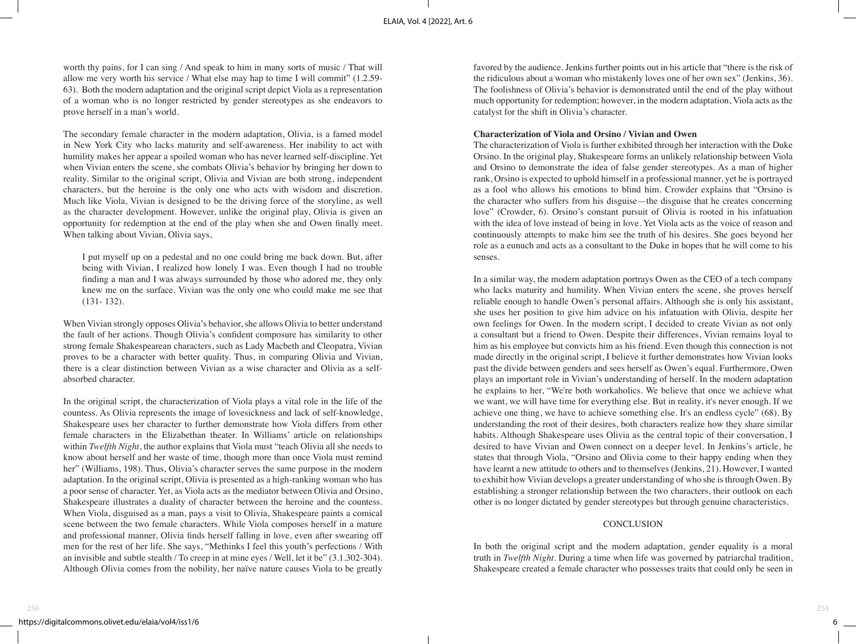worth thy pains, for I can sing / And speak to him in many sorts of music / That will allow me very worth his service / What else may hap to time I will commit" (1.2.59- 63). Both the modern adaptation and the original script depict Viola as a representation of a woman who is no longer restricted by gender stereotypes as she endeavors to prove herself in a man's world.

The secondary female character in the modern adaptation, Olivia, is a famed model in New York City who lacks maturity and self-awareness. Her inability to act with humility makes her appear a spoiled woman who has never learned self-discipline. Yet when Vivian enters the scene, she combats Olivia's behavior by bringing her down to reality. Similar to the original script, Olivia and Vivian are both strong, independent characters, but the heroine is the only one who acts with wisdom and discretion. Much like Viola, Vivian is designed to be the driving force of the storyline, as well as the character development. However, unlike the original play, Olivia is given an opportunity for redemption at the end of the play when she and Owen finally meet. When talking about Vivian, Olivia says,

I put myself up on a pedestal and no one could bring me back down. But, after being with Vivian, I realized how lonely I was. Even though I had no trouble finding a man and I was always surrounded by those who adored me, they only knew me on the surface. Vivian was the only one who could make me see that (131- 132).

When Vivian strongly opposes Olivia's behavior, she allows Olivia to better understand the fault of her actions. Though Olivia's confident composure has similarity to other strong female Shakespearean characters, such as Lady Macbeth and Cleopatra, Vivian proves to be a character with better quality. Thus, in comparing Olivia and Vivian, there is a clear distinction between Vivian as a wise character and Olivia as a selfabsorbed character.

In the original script, the characterization of Viola plays a vital role in the life of the countess. As Olivia represents the image of lovesickness and lack of self-knowledge, Shakespeare uses her character to further demonstrate how Viola differs from other female characters in the Elizabethan theater. In Williams' article on relationships within *Twelfth Night*, the author explains that Viola must "teach Olivia all she needs to know about herself and her waste of time, though more than once Viola must remind her" (Williams, 198). Thus, Olivia's character serves the same purpose in the modern adaptation. In the original script, Olivia is presented as a high-ranking woman who has a poor sense of character. Yet, as Viola acts as the mediator between Olivia and Orsino, Shakespeare illustrates a duality of character between the heroine and the countess. When Viola, disguised as a man, pays a visit to Olivia, Shakespeare paints a comical scene between the two female characters. While Viola composes herself in a mature and professional manner, Olivia finds herself falling in love, even after swearing off men for the rest of her life. She says, "Methinks I feel this youth's perfections / With an invisible and subtle stealth / To creep in at mine eyes / Well, let it be" (3.1.302-304). Although Olivia comes from the nobility, her naïve nature causes Viola to be greatly

favored by the audience. Jenkins further points out in his article that "there is the risk of the ridiculous about a woman who mistakenly loves one of her own sex" (Jenkins, 36). The foolishness of Olivia's behavior is demonstrated until the end of the play without much opportunity for redemption; however, in the modern adaptation, Viola acts as the catalyst for the shift in Olivia's character.

#### **Characterization of Viola and Orsino / Vivian and Owen**

The characterization of Viola is further exhibited through her interaction with the Duke Orsino. In the original play, Shakespeare forms an unlikely relationship between Viola and Orsino to demonstrate the idea of false gender stereotypes. As a man of higher rank, Orsino is expected to uphold himself in a professional manner, yet he is portrayed as a fool who allows his emotions to blind him. Crowder explains that "Orsino is the character who suffers from his disguise—the disguise that he creates concerning love" (Crowder, 6). Orsino's constant pursuit of Olivia is rooted in his infatuation with the idea of love instead of being in love. Yet Viola acts as the voice of reason and continuously attempts to make him see the truth of his desires. She goes beyond her role as a eunuch and acts as a consultant to the Duke in hopes that he will come to his senses.

In a similar way, the modern adaptation portrays Owen as the CEO of a tech company who lacks maturity and humility. When Vivian enters the scene, she proves herself reliable enough to handle Owen's personal affairs. Although she is only his assistant, she uses her position to give him advice on his infatuation with Olivia, despite her own feelings for Owen. In the modern script, I decided to create Vivian as not only a consultant but a friend to Owen. Despite their differences, Vivian remains loyal to him as his employee but convicts him as his friend. Even though this connection is not made directly in the original script, I believe it further demonstrates how Vivian looks past the divide between genders and sees herself as Owen's equal. Furthermore, Owen plays an important role in Vivian's understanding of herself. In the modern adaptation he explains to her, "We're both workaholics. We believe that once we achieve what we want, we will have time for everything else. But in reality, it's never enough. If we achieve one thing, we have to achieve something else. It's an endless cycle" (68). By understanding the root of their desires, both characters realize how they share similar habits. Although Shakespeare uses Olivia as the central topic of their conversation, I desired to have Vivian and Owen connect on a deeper level. In Jenkins's article, he states that through Viola, "Orsino and Olivia come to their happy ending when they have learnt a new attitude to others and to themselves (Jenkins, 21). However, I wanted to exhibit how Vivian develops a greater understanding of who she is through Owen. By establishing a stronger relationship between the two characters, their outlook on each other is no longer dictated by gender stereotypes but through genuine characteristics.

#### **CONCLUSION**

In both the original script and the modern adaptation, gender equality is a moral truth in *Twelfth Night*. During a time when life was governed by patriarchal tradition, Shakespeare created a female character who possesses traits that could only be seen in

 $6 \underline{\ }$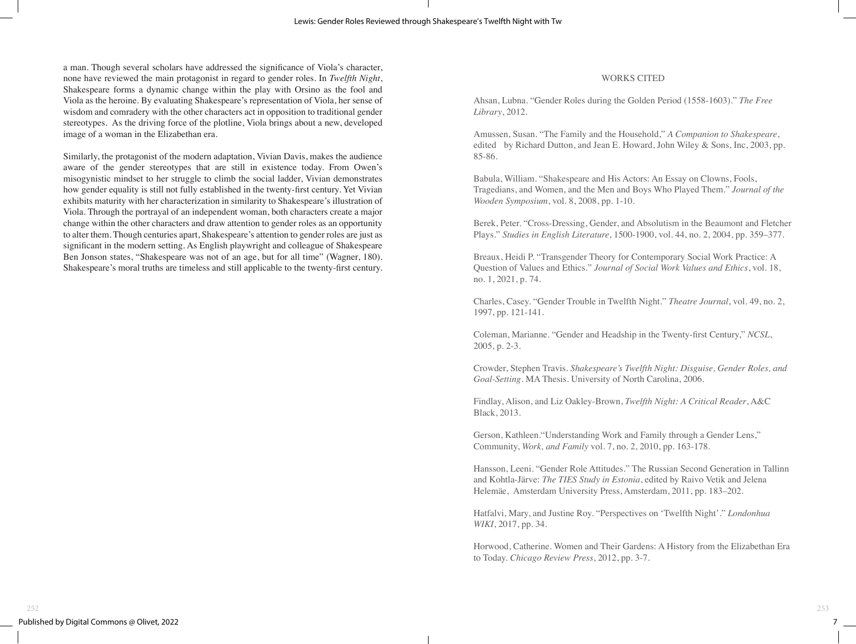a man. Though several scholars have addressed the significance of Viola's character, none have reviewed the main protagonist in regard to gender roles. In *Twelfth Night*, Shakespeare forms a dynamic change within the play with Orsino as the fool and Viola as the heroine. By evaluating Shakespeare's representation of Viola, her sense of wisdom and comradery with the other characters act in opposition to traditional gender stereotypes. As the driving force of the plotline, Viola brings about a new, developed image of a woman in the Elizabethan era.

Similarly, the protagonist of the modern adaptation, Vivian Davis, makes the audience aware of the gender stereotypes that are still in existence today. From Owen's misogynistic mindset to her struggle to climb the social ladder, Vivian demonstrates how gender equality is still not fully established in the twenty-first century. Yet Vivian exhibits maturity with her characterization in similarity to Shakespeare's illustration of Viola. Through the portrayal of an independent woman, both characters create a major change within the other characters and draw attention to gender roles as an opportunity to alter them. Though centuries apart, Shakespeare's attention to gender roles are just as significant in the modern setting. As English playwright and colleague of Shakespeare Ben Jonson states, "Shakespeare was not of an age, but for all time" (Wagner, 180). Shakespeare's moral truths are timeless and still applicable to the twenty-first century.

#### WORKS CITED

Ahsan, Lubna. "Gender Roles during the Golden Period (1558-1603)." *The Free Library*, 2012.

Amussen, Susan. "The Family and the Household," *A Companion to Shakespeare*, edited by Richard Dutton, and Jean E. Howard, John Wiley & Sons, Inc, 2003, pp. 85-86.

Babula, William. "Shakespeare and His Actors: An Essay on Clowns, Fools, Tragedians, and Women, and the Men and Boys Who Played Them." *Journal of the Wooden Symposium*, vol. 8, 2008, pp. 1-10.

Berek, Peter. "Cross-Dressing, Gender, and Absolutism in the Beaumont and Fletcher Plays." *Studies in English Literature*, 1500-1900, vol. 44, no. 2, 2004, pp. 359–377.

Breaux, Heidi P. "Transgender Theory for Contemporary Social Work Practice: A Question of Values and Ethics." *Journal of Social Work Values and Ethics*, vol. 18, no. 1, 2021, p. 74.

Charles, Casey. "Gender Trouble in Twelfth Night." *Theatre Journal*, vol. 49, no. 2, 1997, pp. 121-141.

Coleman, Marianne. "Gender and Headship in the Twenty-first Century," *NCSL*, 2005, p. 2-3.

Crowder, Stephen Travis. *Shakespeare's Twelfth Night: Disguise, Gender Roles, and Goal-Setting*. MA Thesis. University of North Carolina, 2006.

Findlay, Alison, and Liz Oakley-Brown, *Twelfth Night: A Critical Reader*, A&C Black, 2013.

Gerson, Kathleen."Understanding Work and Family through a Gender Lens," Community, *Work, and Family* vol. 7, no. 2, 2010, pp. 163-178.

Hansson, Leeni. "Gender Role Attitudes." The Russian Second Generation in Tallinn and Kohtla-Järve: *The TIES Study in Estonia*, edited by Raivo Vetik and Jelena Helemäe, Amsterdam University Press, Amsterdam, 2011, pp. 183–202.

Hatfalvi, Mary, and Justine Roy. "Perspectives on 'Twelfth Night'." *Londonhua WIKI*, 2017, pp. 34.

Horwood, Catherine. Women and Their Gardens: A History from the Elizabethan Era to Today. *Chicago Review Press*, 2012, pp. 3-7.

 $7 -$